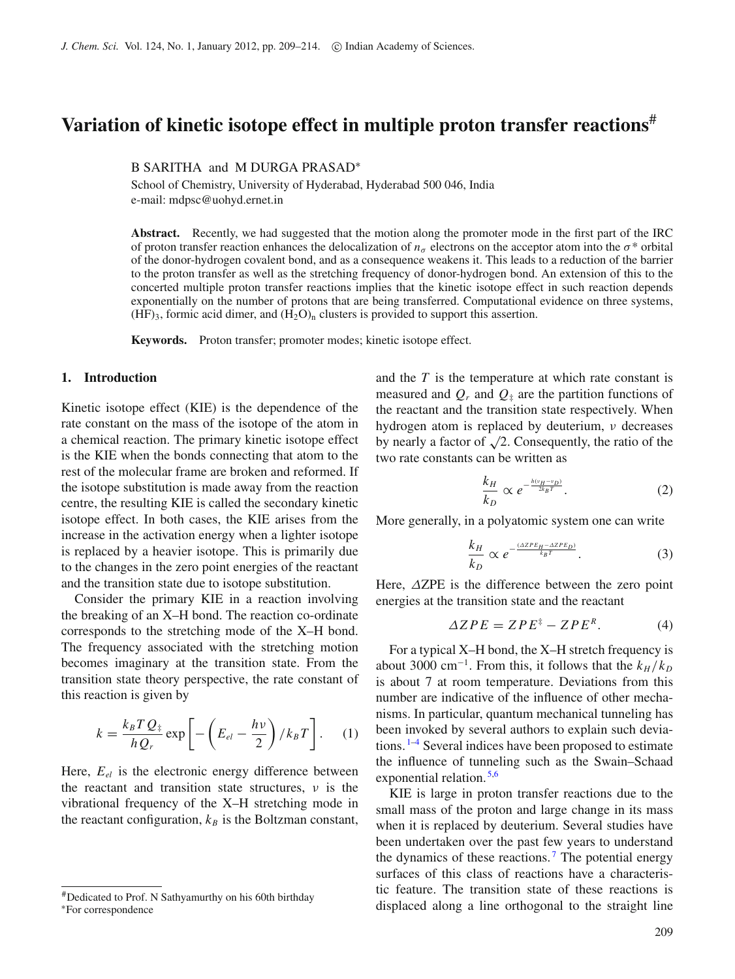# **Variation of kinetic isotope effect in multiple proton transfer reactions**#

B SARITHA and M DURGA PRASAD<sup>\*</sup>

School of Chemistry, University of Hyderabad, Hyderabad 500 046, India e-mail: mdpsc@uohyd.ernet.in

**Abstract.** Recently, we had suggested that the motion along the promoter mode in the first part of the IRC of proton transfer reaction enhances the delocalization of  $n<sub>σ</sub>$  electrons on the acceptor atom into the  $\sigma^*$  orbital of the donor-hydrogen covalent bond, and as a consequence weakens it. This leads to a reduction of the barrier to the proton transfer as well as the stretching frequency of donor-hydrogen bond. An extension of this to the concerted multiple proton transfer reactions implies that the kinetic isotope effect in such reaction depends exponentially on the number of protons that are being transferred. Computational evidence on three systems,  $(HF)_3$ , formic acid dimer, and  $(H_2O)_n$  clusters is provided to support this assertion.

**Keywords.** Proton transfer; promoter modes; kinetic isotope effect.

#### **1. Introduction**

Kinetic isotope effect (KIE) is the dependence of the rate constant on the mass of the isotope of the atom in a chemical reaction. The primary kinetic isotope effect is the KIE when the bonds connecting that atom to the rest of the molecular frame are broken and reformed. If the isotope substitution is made away from the reaction centre, the resulting KIE is called the secondary kinetic isotope effect. In both cases, the KIE arises from the increase in the activation energy when a lighter isotope is replaced by a heavier isotope. This is primarily due to the changes in the zero point energies of the reactant and the transition state due to isotope substitution.

Consider the primary KIE in a reaction involving the breaking of an X–H bond. The reaction co-ordinate corresponds to the stretching mode of the X–H bond. The frequency associated with the stretching motion becomes imaginary at the transition state. From the transition state theory perspective, the rate constant of this reaction is given by

$$
k = \frac{k_B T Q_{\frac{1}{2}}}{h Q_r} \exp\left[-\left(E_{el} - \frac{h\nu}{2}\right) / k_B T\right].
$$
 (1)

Here,  $E_{el}$  is the electronic energy difference between the reactant and transition state structures,  $\nu$  is the vibrational frequency of the X–H stretching mode in the reactant configuration,  $k_B$  is the Boltzman constant, and the *T* is the temperature at which rate constant is measured and  $Q_r$  and  $Q_{\ddagger}$  are the partition functions of the reactant and the transition state respectively. When hydrogen atom is replaced by deuterium,  $\nu$  decreases by nearly a factor of  $\sqrt{2}$ . Consequently, the ratio of the two rate constants can be written as

<span id="page-0-0"></span>
$$
\frac{k_H}{k_D} \propto e^{-\frac{h(v_H - v_D)}{2k_B T}}.\tag{2}
$$

More generally, in a polyatomic system one can write

<span id="page-0-2"></span>
$$
\frac{k_H}{k_D} \propto e^{-\frac{(\Delta Z P E_H - \Delta Z P E_D)}{k_B T}}.\tag{3}
$$

Here, ΔZPE is the difference between the zero point energies at the transition state and the reactant

<span id="page-0-1"></span>
$$
\Delta ZPE = ZPE^{\ddagger} - ZPE^R. \tag{4}
$$

For a typical X–H bond, the X–H stretch frequency is about 3000 cm<sup>-1</sup>. From this, it follows that the  $k_H / k_D$ is about 7 at room temperature. Deviations from this number are indicative of the influence of other mechanisms. In particular, quantum mechanical tunneling has been invoked by several authors to explain such deviations.  $1-4$  $1-4$  Several indices have been proposed to estimate the influence of tunneling such as the Swain–Schaad exponential relation.<sup>[5](#page-5-2)[,6](#page-5-3)</sup>

KIE is large in proton transfer reactions due to the small mass of the proton and large change in its mass when it is replaced by deuterium. Several studies have been undertaken over the past few years to understand the dynamics of these reactions.<sup>[7](#page-5-4)</sup> The potential energy surfaces of this class of reactions have a characteristic feature. The transition state of these reactions is displaced along a line orthogonal to the straight line

<sup>#</sup>Dedicated to Prof. N Sathyamurthy on his 60th birthday <sup>∗</sup>For correspondence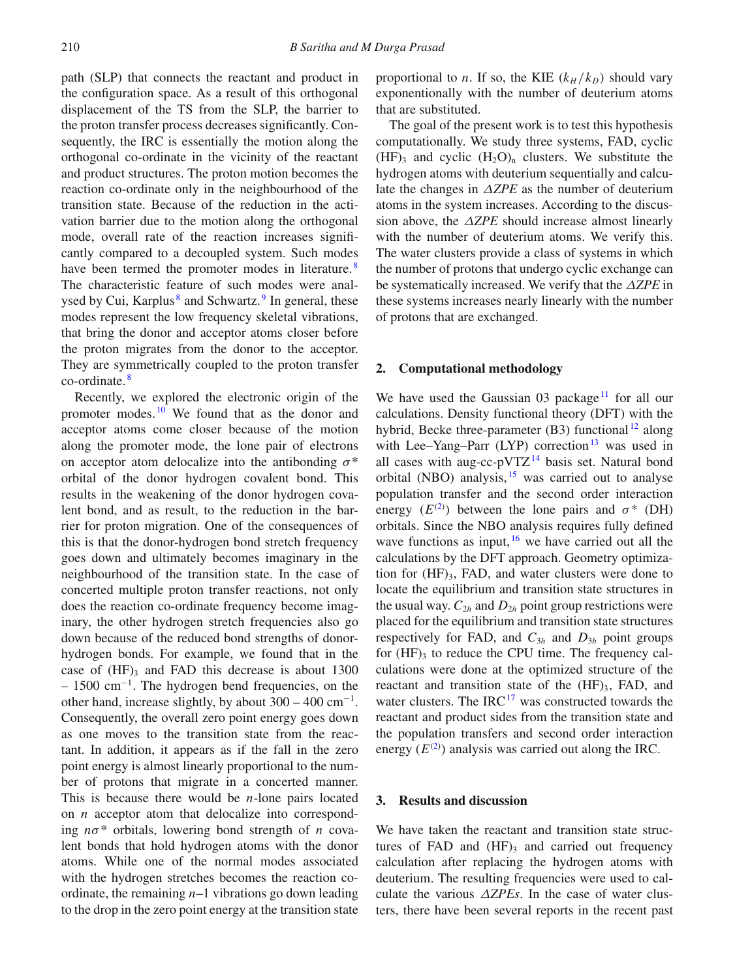path (SLP) that connects the reactant and product in the configuration space. As a result of this orthogonal displacement of the TS from the SLP, the barrier to the proton transfer process decreases significantly. Consequently, the IRC is essentially the motion along the orthogonal co-ordinate in the vicinity of the reactant and product structures. The proton motion becomes the reaction co-ordinate only in the neighbourhood of the transition state. Because of the reduction in the activation barrier due to the motion along the orthogonal mode, overall rate of the reaction increases significantly compared to a decoupled system. Such modes have been termed the promoter modes in literature.<sup>[8](#page-5-5)</sup> The characteristic feature of such modes were anal-ysed by Cui, Karplus<sup>[8](#page-5-5)</sup> and Schwartz.<sup>[9](#page-5-6)</sup> In general, these modes represent the low frequency skeletal vibrations, that bring the donor and acceptor atoms closer before the proton migrates from the donor to the acceptor. They are symmetrically coupled to the proton transfer co-ordinate. [8](#page-5-5)

Recently, we explored the electronic origin of the promoter modes. [10](#page-5-7) We found that as the donor and acceptor atoms come closer because of the motion along the promoter mode, the lone pair of electrons on acceptor atom delocalize into the antibonding  $\sigma^*$ orbital of the donor hydrogen covalent bond. This results in the weakening of the donor hydrogen covalent bond, and as result, to the reduction in the barrier for proton migration. One of the consequences of this is that the donor-hydrogen bond stretch frequency goes down and ultimately becomes imaginary in the neighbourhood of the transition state. In the case of concerted multiple proton transfer reactions, not only does the reaction co-ordinate frequency become imaginary, the other hydrogen stretch frequencies also go down because of the reduced bond strengths of donorhydrogen bonds. For example, we found that in the case of  $(HF)$ <sub>3</sub> and FAD this decrease is about 1300 – 1500 cm<sup>−</sup>1. The hydrogen bend frequencies, on the other hand, increase slightly, by about  $300 - 400$  cm<sup>-1</sup>. Consequently, the overall zero point energy goes down as one moves to the transition state from the reactant. In addition, it appears as if the fall in the zero point energy is almost linearly proportional to the number of protons that migrate in a concerted manner. This is because there would be *n*-lone pairs located on *n* acceptor atom that delocalize into corresponding *n*σ\* orbitals, lowering bond strength of *n* covalent bonds that hold hydrogen atoms with the donor atoms. While one of the normal modes associated with the hydrogen stretches becomes the reaction coordinate, the remaining *n*–1 vibrations go down leading to the drop in the zero point energy at the transition state

proportional to *n*. If so, the KIE  $(k_H / k_D)$  should vary exponentionally with the number of deuterium atoms that are substituted.

The goal of the present work is to test this hypothesis computationally. We study three systems, FAD, cyclic  $(HF)$ <sub>3</sub> and cyclic  $(H_2O)$ <sub>n</sub> clusters. We substitute the hydrogen atoms with deuterium sequentially and calculate the changes in Δ*ZPE* as the number of deuterium atoms in the system increases. According to the discussion above, the Δ*ZPE* should increase almost linearly with the number of deuterium atoms. We verify this. The water clusters provide a class of systems in which the number of protons that undergo cyclic exchange can be systematically increased. We verify that the Δ*ZPE* in these systems increases nearly linearly with the number of protons that are exchanged.

#### **2. Computational methodology**

We have used the Gaussian  $\theta$ 3 package<sup>[11](#page-5-8)</sup> for all our calculations. Density functional theory (DFT) with the hybrid, Becke three-parameter  $(B3)$  functional  $^{12}$  $^{12}$  $^{12}$  along with Lee–Yang–Parr  $(LYP)$  correction<sup>13</sup> was used in all cases with aug-cc-pVTZ $^{14}$  $^{14}$  $^{14}$  basis set. Natural bond orbital (NBO) analysis,  $15$  was carried out to analyse population transfer and the second order interaction energy  $(E^{(2)})$  $(E^{(2)})$  $(E^{(2)})$  between the lone pairs and  $\sigma^*$  (DH) orbitals. Since the NBO analysis requires fully defined wave functions as input,  $16$  we have carried out all the calculations by the DFT approach. Geometry optimization for  $(HF)$ <sub>3</sub>, FAD, and water clusters were done to locate the equilibrium and transition state structures in the usual way.  $C_{2h}$  and  $D_{2h}$  point group restrictions were placed for the equilibrium and transition state structures respectively for FAD, and  $C_{3h}$  and  $D_{3h}$  point groups for  $(HF)$ <sub>3</sub> to reduce the CPU time. The frequency calculations were done at the optimized structure of the reactant and transition state of the  $(HF)_{3}$ , FAD, and water clusters. The IRC $^{17}$  was constructed towards the reactant and product sides from the transition state and the population transfers and second order interaction energy  $(E^{(2)})$  $(E^{(2)})$  $(E^{(2)})$  analysis was carried out along the IRC.

## **3. Results and discussion**

We have taken the reactant and transition state structures of FAD and  $(HF)$ <sub>3</sub> and carried out frequency calculation after replacing the hydrogen atoms with deuterium. The resulting frequencies were used to calculate the various Δ*ZPEs*. In the case of water clusters, there have been several reports in the recent past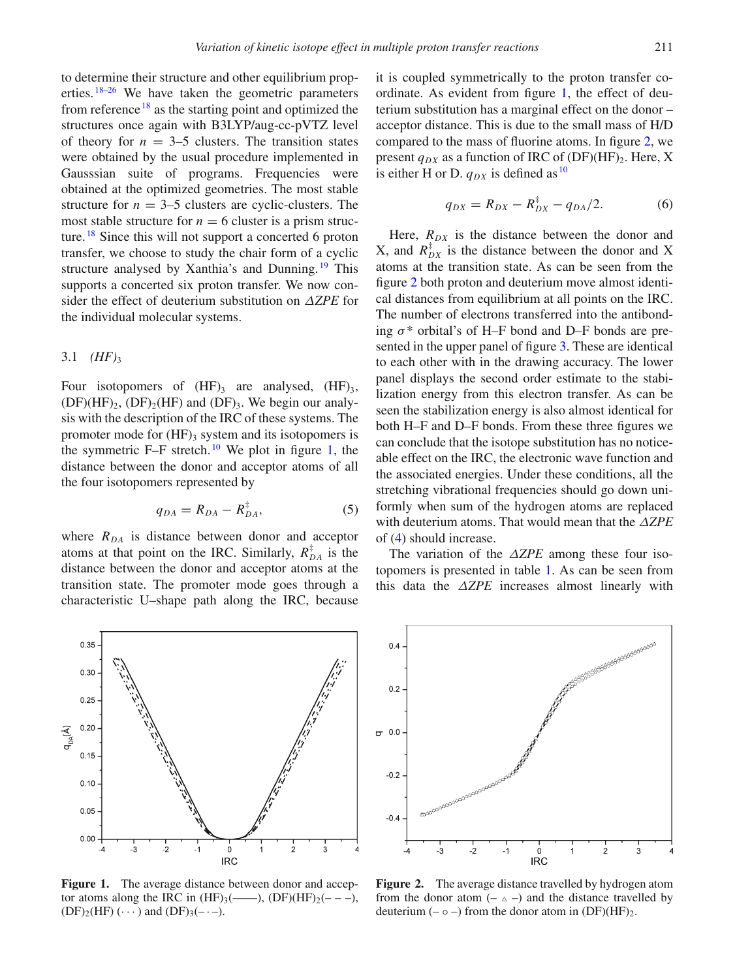to determine their structure and other equilibrium properties. [18](#page-5-14)[–26](#page-5-15) We have taken the geometric parameters from reference  $18$  as the starting point and optimized the structures once again with B3LYP/aug-cc-pVTZ level of theory for  $n = 3-5$  clusters. The transition states were obtained by the usual procedure implemented in Gausssian suite of programs. Frequencies were obtained at the optimized geometries. The most stable structure for  $n = 3-5$  clusters are cyclic-clusters. The most stable structure for  $n = 6$  cluster is a prism struc-ture. <sup>[18](#page-5-14)</sup> Since this will not support a concerted 6 proton transfer, we choose to study the chair form of a cyclic structure analysed by Xanthia's and Dunning.<sup>[19](#page-5-16)</sup> This supports a concerted six proton transfer. We now consider the effect of deuterium substitution on Δ*ZPE* for the individual molecular systems.

#### 3.1  $(HF)_{3}$

Four isotopomers of  $(HF)$ <sub>3</sub> are analysed,  $(HF)$ <sub>3</sub>,  $(DF)(HF)_2$ ,  $(DF)_2(HF)$  and  $(DF)_3$ . We begin our analysis with the description of the IRC of these systems. The promoter mode for  $(HF)$ <sub>3</sub> system and its isotopomers is the symmetric  $F-F$  stretch.<sup>[10](#page-5-7)</sup> We plot in figure [1,](#page-2-0) the distance between the donor and acceptor atoms of all the four isotopomers represented by

$$
q_{DA} = R_{DA} - R_{DA}^{\ddagger},\tag{5}
$$

where  $R_{DA}$  is distance between donor and acceptor atoms at that point on the IRC. Similarly,  $R_{DA}^{\ddagger}$  is the distance between the donor and acceptor atoms at the transition state. The promoter mode goes through a characteristic U–shape path along the IRC, because it is coupled symmetrically to the proton transfer coordinate. As evident from figure [1,](#page-2-0) the effect of deuterium substitution has a marginal effect on the donor – acceptor distance. This is due to the small mass of H/D compared to the mass of fluorine atoms. In figure [2,](#page-2-1) we present  $q_{DX}$  as a function of IRC of (DF)(HF)<sub>2</sub>. Here, X is either H or D.  $q_{DX}$  is defined as  $^{10}$  $^{10}$  $^{10}$ 

$$
q_{DX} = R_{DX} - R_{DX}^{\ddagger} - q_{DA}/2. \tag{6}
$$

Here,  $R_{DX}$  is the distance between the donor and X, and  $R_{DX}^{\dagger}$  is the distance between the donor and X atoms at the transition state. As can be seen from the figure [2](#page-2-1) both proton and deuterium move almost identical distances from equilibrium at all points on the IRC. The number of electrons transferred into the antibonding  $\sigma^*$  orbital's of H–F bond and D–F bonds are presented in the upper panel of figure [3.](#page-3-0) These are identical to each other with in the drawing accuracy. The lower panel displays the second order estimate to the stabilization energy from this electron transfer. As can be seen the stabilization energy is also almost identical for both H–F and D–F bonds. From these three figures we can conclude that the isotope substitution has no noticeable effect on the IRC, the electronic wave function and the associated energies. Under these conditions, all the stretching vibrational frequencies should go down uniformly when sum of the hydrogen atoms are replaced with deuterium atoms. That would mean that the Δ*ZPE* of [\(4\)](#page-0-1) should increase.

The variation of the Δ*ZPE* among these four isotopomers is presented in table [1.](#page-3-1) As can be seen from this data the Δ*ZPE* increases almost linearly with

<span id="page-2-0"></span>

**Figure 1.** The average distance between donor and acceptor atoms along the IRC in  $(HF)_3$ (---),  $(DF)(HF)_2$ (---),  $(DF)_2(HF) (\cdots)$  and  $(DF)_3(-\cdots)$ .

<span id="page-2-1"></span>

**Figure 2.** The average distance travelled by hydrogen atom from the donor atom  $(- \triangle -)$  and the distance travelled by deuterium  $(-\circ -)$  from the donor atom in  $(DF)(HF)_{2}$ .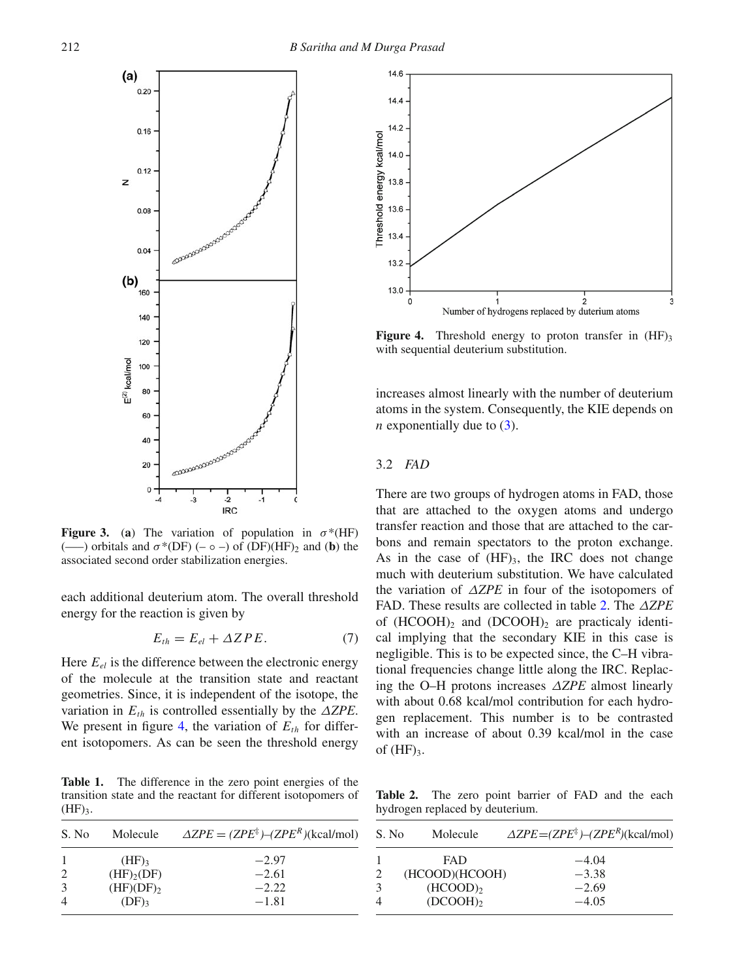<span id="page-3-0"></span>

**Figure 3.** (a) The variation of population in  $\sigma^*(HF)$ (—–) orbitals and  $\sigma^*(DF)$  (–  $\circ$  –) of (DF)(HF)<sub>2</sub> and (**b**) the associated second order stabilization energies.

each additional deuterium atom. The overall threshold energy for the reaction is given by

$$
E_{th} = E_{el} + \Delta ZPE. \tag{7}
$$

Here  $E_{el}$  is the difference between the electronic energy of the molecule at the transition state and reactant geometries. Since, it is independent of the isotope, the variation in  $E_{th}$  is controlled essentially by the  $\triangle ZPE$ . We present in figure [4,](#page-3-2) the variation of  $E_{th}$  for different isotopomers. As can be seen the threshold energy

<span id="page-3-1"></span>**Table 1.** The difference in the zero point energies of the transition state and the reactant for different isotopomers of  $(HF)<sub>3</sub>$ .



<span id="page-3-2"></span>

**Figure 4.** Threshold energy to proton transfer in  $(HF)$ <sub>3</sub> with sequential deuterium substitution.

increases almost linearly with the number of deuterium atoms in the system. Consequently, the KIE depends on *n* exponentially due to  $(3)$ .

## 3.2 *FAD*

There are two groups of hydrogen atoms in FAD, those that are attached to the oxygen atoms and undergo transfer reaction and those that are attached to the carbons and remain spectators to the proton exchange. As in the case of  $(HF)_{3}$ , the IRC does not change much with deuterium substitution. We have calculated the variation of Δ*ZPE* in four of the isotopomers of FAD. These results are collected in table [2.](#page-3-3) The Δ*ZPE* of  $(HCOOH)_{2}$  and  $(DCOOH)_{2}$  are practicaly identical implying that the secondary KIE in this case is negligible. This is to be expected since, the C–H vibrational frequencies change little along the IRC. Replacing the O–H protons increases Δ*ZPE* almost linearly with about 0.68 kcal/mol contribution for each hydrogen replacement. This number is to be contrasted with an increase of about 0.39 kcal/mol in the case of  $(HF)_{3}$ .

<span id="page-3-3"></span>**Table 2.** The zero point barrier of FAD and the each hydrogen replaced by deuterium.

| S. No          | Molecule               | $\triangle ZPE = (ZPE^{\ddagger}) - (ZPE^R)(\text{kcal/mol})$ |
|----------------|------------------------|---------------------------------------------------------------|
|                | <b>FAD</b>             | $-4.04$                                                       |
| 2              | (HCOOD)(HCOOH)         | $-3.38$                                                       |
| 3              | $(HCOOD)$ <sub>2</sub> | $-2.69$                                                       |
| $\overline{4}$ | $(DCOOH)_{2}$          | $-4.05$                                                       |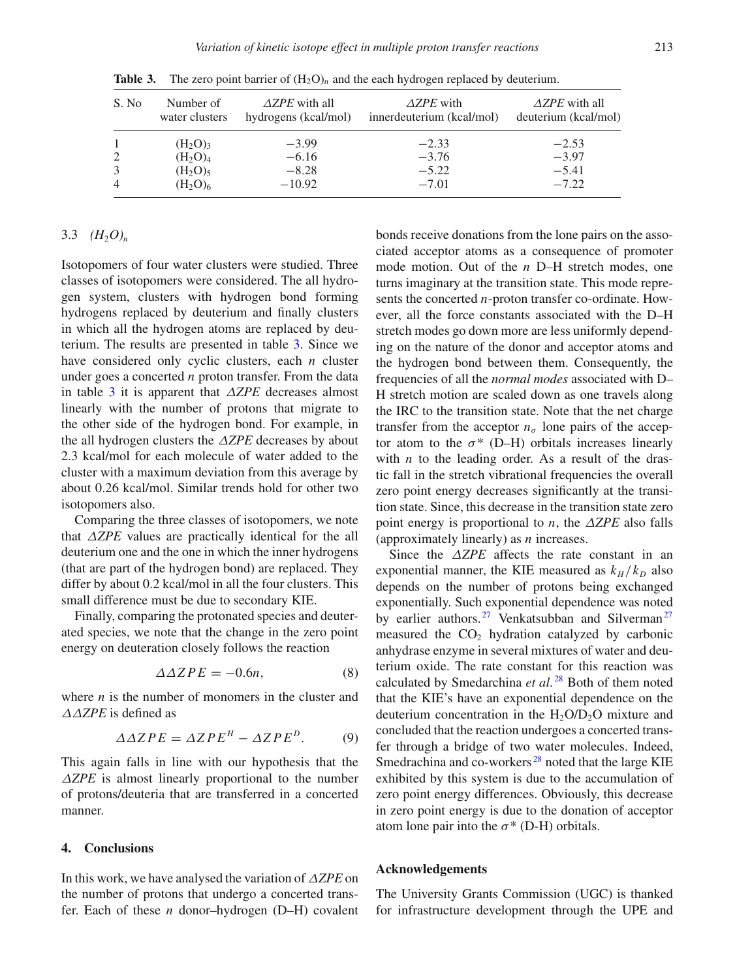| S. No | Number of<br>water clusters | $\triangle ZPE$ with all<br>hydrogens (kcal/mol) | $\triangle ZPE$ with<br>innerdeuterium (kcal/mol) | $\triangle ZPE$ with all<br>deuterium (kcal/mol) |
|-------|-----------------------------|--------------------------------------------------|---------------------------------------------------|--------------------------------------------------|
|       | $(H_2O)_3$                  | $-3.99$                                          | $-2.33$                                           | $-2.53$                                          |
| 2     | $(H_2O)4$                   | $-6.16$                                          | $-3.76$                                           | $-3.97$                                          |
|       | $(H_2O)_5$                  | $-8.28$                                          | $-5.22$                                           | $-5.41$                                          |
|       | $(H_2O)_6$                  | $-10.92$                                         | $-7.01$                                           | $-7.22$                                          |

<span id="page-4-0"></span>**Table 3.** The zero point barrier of  $(H_2O)_n$  and the each hydrogen replaced by deuterium.

# 3.3  $(H_2O)_n$

Isotopomers of four water clusters were studied. Three classes of isotopomers were considered. The all hydrogen system, clusters with hydrogen bond forming hydrogens replaced by deuterium and finally clusters in which all the hydrogen atoms are replaced by deuterium. The results are presented in table [3.](#page-4-0) Since we have considered only cyclic clusters, each *n* cluster under goes a concerted *n* proton transfer. From the data in table [3](#page-4-0) it is apparent that Δ*ZPE* decreases almost linearly with the number of protons that migrate to the other side of the hydrogen bond. For example, in the all hydrogen clusters the Δ*ZPE* decreases by about 2.3 kcal/mol for each molecule of water added to the cluster with a maximum deviation from this average by about 0.26 kcal/mol. Similar trends hold for other two isotopomers also.

Comparing the three classes of isotopomers, we note that Δ*ZPE* values are practically identical for the all deuterium one and the one in which the inner hydrogens (that are part of the hydrogen bond) are replaced. They differ by about 0.2 kcal/mol in all the four clusters. This small difference must be due to secondary KIE.

Finally, comparing the protonated species and deuterated species, we note that the change in the zero point energy on deuteration closely follows the reaction

$$
\Delta \Delta ZPE = -0.6n,\tag{8}
$$

where *n* is the number of monomers in the cluster and ΔΔ*ZPE* is defined as

$$
\Delta \Delta ZPE = \Delta ZPE^{H} - \Delta ZPE^{D}. \tag{9}
$$

This again falls in line with our hypothesis that the Δ*ZPE* is almost linearly proportional to the number of protons/deuteria that are transferred in a concerted manner.

### **4. Conclusions**

In this work, we have analysed the variation of Δ*ZPE* on the number of protons that undergo a concerted transfer. Each of these *n* donor–hydrogen (D–H) covalent bonds receive donations from the lone pairs on the associated acceptor atoms as a consequence of promoter mode motion. Out of the *n* D–H stretch modes, one turns imaginary at the transition state. This mode represents the concerted *n*-proton transfer co-ordinate. However, all the force constants associated with the D–H stretch modes go down more are less uniformly depending on the nature of the donor and acceptor atoms and the hydrogen bond between them. Consequently, the frequencies of all the *normal modes* associated with D– H stretch motion are scaled down as one travels along the IRC to the transition state. Note that the net charge transfer from the acceptor  $n_{\sigma}$  lone pairs of the acceptor atom to the  $\sigma^*$  (D–H) orbitals increases linearly with  $n$  to the leading order. As a result of the drastic fall in the stretch vibrational frequencies the overall zero point energy decreases significantly at the transition state. Since, this decrease in the transition state zero point energy is proportional to *n*, the Δ*ZPE* also falls (approximately linearly) as *n* increases.

Since the Δ*ZPE* affects the rate constant in an exponential manner, the KIE measured as  $k_H / k_D$  also depends on the number of protons being exchanged exponentially. Such exponential dependence was noted by earlier authors.<sup>[27](#page-5-17)</sup> Venkatsubban and Silverman<sup>27</sup> measured the  $CO<sub>2</sub>$  hydration catalyzed by carbonic anhydrase enzyme in several mixtures of water and deuterium oxide. The rate constant for this reaction was calculated by Smedarchina *et al*. [28](#page-5-18) Both of them noted that the KIE's have an exponential dependence on the deuterium concentration in the  $H_2O/D_2O$  mixture and concluded that the reaction undergoes a concerted transfer through a bridge of two water molecules. Indeed, Smedrachina and co-workers $^{28}$  $^{28}$  $^{28}$  noted that the large KIE exhibited by this system is due to the accumulation of zero point energy differences. Obviously, this decrease in zero point energy is due to the donation of acceptor atom lone pair into the  $\sigma^*$  (D-H) orbitals.

#### **Acknowledgements**

The University Grants Commission (UGC) is thanked for infrastructure development through the UPE and